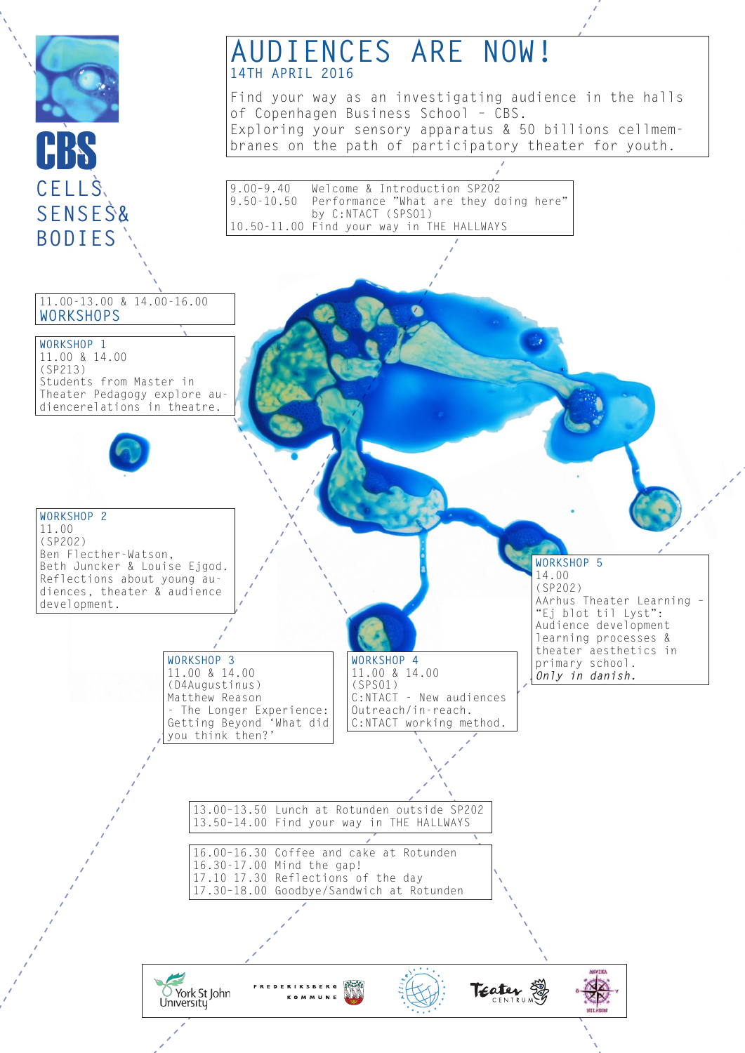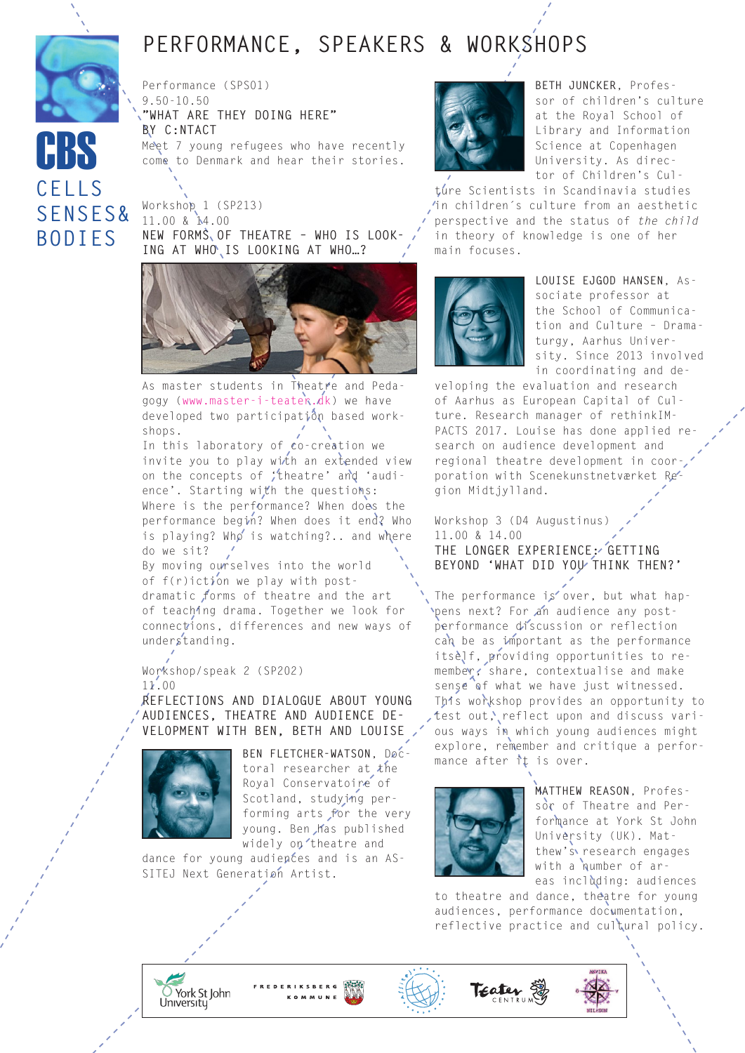# **Performance, Speakers & Workshops**

Performance (SPS01) 9.50-10.50 **"What are they doing here" by C:NTACT** Meet 7 young refugees who have recently come to Denmark and hear their stories.

Workshop 1 (SP213) 11.00 & 14.00 **New forms of theatre – who is look-**ING AT WHO IS LOOKING AT WHO ...?

**cells**

**CBS** 

**senses&**

**bodies**



As master students in Theatre and Pedagogy ([www.master-i-teater.dk\)](http://www.master-i-teater.dk/) we have developed two participation based workshops.

In this laboratory of co-creation we invite you to play with an extended view on the concepts of 'theatre' and 'audience'. Starting with the questions: Where is the performance? When does the performance begin? When does it end? Who is playing? Who is watching?.. and where do we sit?

By moving ourselves into the world of f(r)iction we play with postdramatic forms of theatre and the art of teaching drama. Together we look for connections, differences and new ways of understanding.

Workshop/speak 2 (SP202) 11.00

**Reflections and dialogue about young audiences, theatre and audience development with Ben, Beth and Louise**



**Ben Fletcher-Watson**, Doctoral researcher at the Royal Conservatoire of Scotland, studying performing arts for the very young. Ben has published widely on theatre and

dance for young audiences and is an AS-SITEJ Next Generation Artist.



**Beth Juncker**, Professor of children's culture at the Royal School of Library and Information Science at Copenhagen University. As director of Children's Cul-

ture Scientists in Scandinavia studies in children´s culture from an aesthetic perspective and the status of *the child* in theory of knowledge is one of her main focuses.



**Louise Ejgod Hansen**, Associate professor at the School of Communication and Culture – Dramaturgy, Aarhus University. Since 2013 involved in coordinating and de-

veloping the evaluation and research of Aarhus as European Capital of Culture. Research manager of rethinkIM-PACTS 2017. Louise has done applied research on audience development and regional theatre development in coorporation with Scenekunstnetværket Region Midtjylland.

Workshop 3 (D4 Augustinus) 11.00 & 14.00 **The Longer Experience: Getting Beyond 'What did you think then?'**

The performance is over, but what happens next? For an audience any postperformance discussion or reflection can be as important as the performance itself, providing opportunities to remember, share, contextualise and make sense of what we have just witnessed. This workshop provides an opportunity to test out, reflect upon and discuss various ways in which young audiences might explore, remember and critique a performance after it is over.



**Matthew Reason**, Professor of Theatre and Performance at York St John University (UK). Matthew's research engages with a number of areas including: audiences

to theatre and dance, theatre for young audiences, performance documentation, reflective practice and cultural policy.